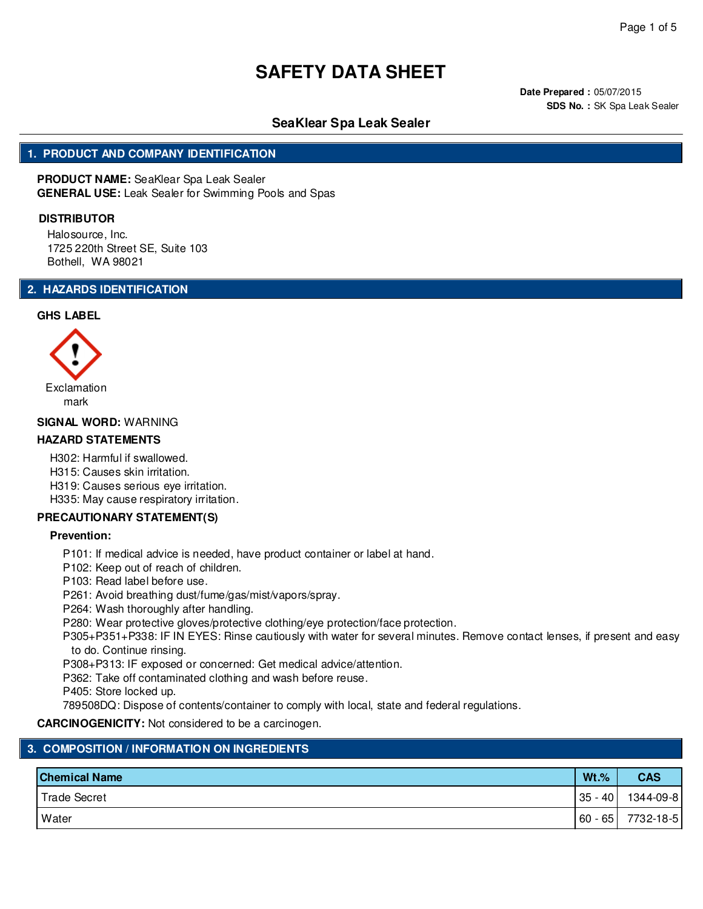**Date Prepared :** 05/07/2015 **SDS No. :** SK Spa Leak Sealer

## **SeaKlear Spa Leak Sealer**

### **1. PRODUCT AND COMPANY IDENTIFICATION**

**PRODUCT NAME:** SeaKlear Spa Leak Sealer **GENERAL USE:** Leak Sealer for Swimming Pools and Spas

#### **DISTRIBUTOR**

Halosource, Inc. 1725 220th Street SE, Suite 103 Bothell, WA 98021

### **2. HAZARDS IDENTIFICATION**

#### **GHS LABEL**



#### **SIGNAL WORD:** WARNING

#### **HAZARD STATEMENTS**

H302: Harmful if swallowed.

H315: Causes skin irritation.

H319: Causes serious eye irritation.

H335: May cause respiratory irritation.

#### **PRECAUTIONARY STATEMENT(S)**

#### **Prevention:**

P101: If medical advice is needed, have product container or label at hand.

- P102: Keep out of reach of children.
- P103: Read label before use.

P261: Avoid breathing dust/fume/gas/mist/vapors/spray.

P264: Wash thoroughly after handling.

P280: Wear protective gloves/protective clothing/eye protection/face protection.

P305+P351+P338: IF IN EYES: Rinse cautiously with water for several minutes. Remove contact lenses, if present and easy to do. Continue rinsing.

P308+P313: IF exposed or concerned: Get medical advice/attention.

P362: Take off contaminated clothing and wash before reuse.

P405: Store locked up.

789508DQ: Dispose of contents/container to comply with local, state and federal regulations.

**CARCINOGENICITY:** Not considered to be a carcinogen.

#### **3. COMPOSITION / INFORMATION ON INGREDIENTS**

| <b>Chemical Name</b> | $Wt.$ %   | <b>CAS</b> |
|----------------------|-----------|------------|
| Trade Secret         | $35 - 40$ | 1344-09-8  |
| Water                | $60 - 65$ | 7732-18-5  |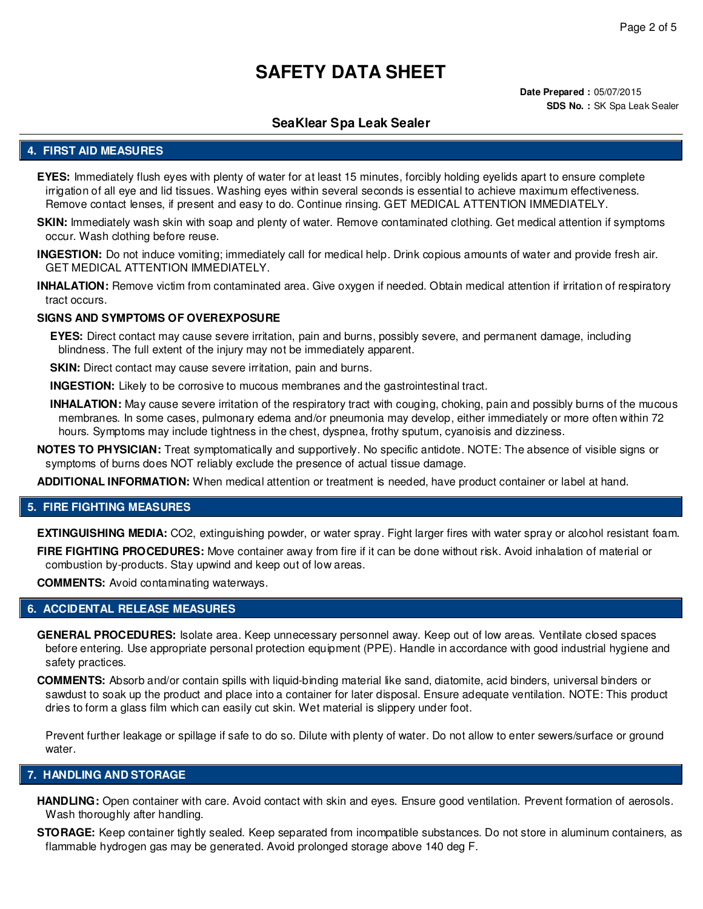**Date Prepared :** 05/07/2015 **SDS No. :** SK Spa Leak Sealer

## **SeaKlear Spa Leak Sealer**

#### **4. FIRST AID MEASURES**

- **EYES:** Immediately flush eyes with plenty of water for at least 15 minutes, forcibly holding eyelids apart to ensure complete irrigation of all eye and lid tissues. Washing eyes within several seconds is essential to achieve maximum effectiveness. Remove contact lenses, if present and easy to do. Continue rinsing. GET MEDICAL ATTENTION IMMEDIATELY.
- **SKIN:** Immediately wash skin with soap and plenty of water. Remove contaminated clothing. Get medical attention if symptoms occur. Wash clothing before reuse.
- **INGESTION:** Do not induce vomiting; immediately call for medical help. Drink copious amounts of water and provide fresh air. GET MEDICAL ATTENTION IMMEDIATELY.
- **INHALATION:** Remove victim from contaminated area. Give oxygen if needed. Obtain medical attention if irritation of respiratory tract occurs.

#### **SIGNS AND SYMPTOMS OF OVEREXPOSURE**

**EYES:** Direct contact may cause severe irritation, pain and burns, possibly severe, and permanent damage, including blindness. The full extent of the injury may not be immediately apparent.

**SKIN:** Direct contact may cause severe irritation, pain and burns.

**INGESTION:** Likely to be corrosive to mucous membranes and the gastrointestinal tract.

- **INHALATION:** May cause severe irritation of the respiratory tract with couging, choking, pain and possibly burns of the mucous membranes. In some cases, pulmonary edema and/or pneumonia may develop, either immediately or more often within 72 hours. Symptoms may include tightness in the chest, dyspnea, frothy sputum, cyanoisis and dizziness.
- **NOTES TO PHYSICIAN:** Treat symptomatically and supportively. No specific antidote. NOTE: The absence of visible signs or symptoms of burns does NOT reliably exclude the presence of actual tissue damage.

**ADDITIONAL INFORMATION:** When medical attention or treatment is needed, have product container or label at hand.

#### **5. FIRE FIGHTING MEASURES**

**EXTINGUISHING MEDIA:** CO2, extinguishing powder, or water spray. Fight larger fires with water spray or alcohol resistant foam.

**FIRE FIGHTING PROCEDURES:** Move container away from fire if it can be done without risk. Avoid inhalation of material or combustion by-products. Stay upwind and keep out of low areas.

**COMMENTS:** Avoid contaminating waterways.

#### **6. ACCIDENTAL RELEASE MEASURES**

- **GENERAL PROCEDURES:** Isolate area. Keep unnecessary personnel away. Keep out of low areas. Ventilate closed spaces before entering. Use appropriate personal protection equipment (PPE). Handle in accordance with good industrial hygiene and safety practices.
- **COMMENTS:** Absorb and/or contain spills with liquid-binding material like sand, diatomite, acid binders, universal binders or sawdust to soak up the product and place into a container for later disposal. Ensure adequate ventilation. NOTE: This product dries to form a glass film which can easily cut skin. Wet material is slippery under foot.

Prevent further leakage or spillage if safe to do so. Dilute with plenty of water. Do not allow to enter sewers/surface or ground water.

#### **7. HANDLING AND STORAGE**

- **HANDLING:** Open container with care. Avoid contact with skin and eyes. Ensure good ventilation. Prevent formation of aerosols. Wash thoroughly after handling.
- **STORAGE:** Keep container tightly sealed. Keep separated from incompatible substances. Do not store in aluminum containers, as flammable hydrogen gas may be generated. Avoid prolonged storage above 140 deg F.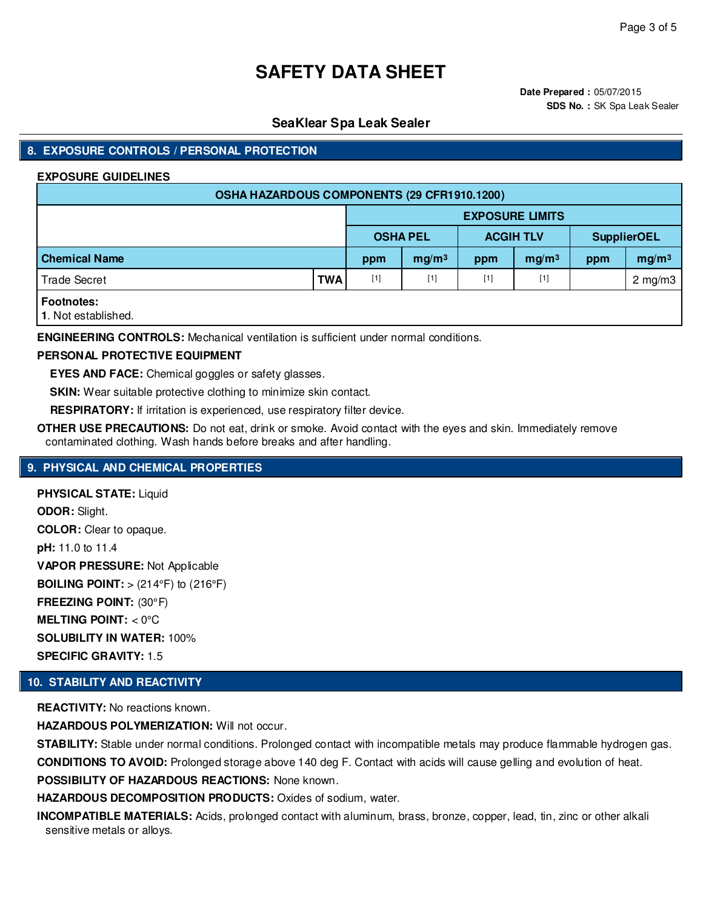**Date Prepared :** 05/07/2015 **SDS No. :** SK Spa Leak Sealer

## **SeaKlear Spa Leak Sealer**

## **8. EXPOSURE CONTROLS / PERSONAL PROTECTION**

#### **EXPOSURE GUIDELINES**

| OSHA HAZARDOUS COMPONENTS (29 CFR1910.1200) |            |                 |                   |                  |                        |                    |                   |
|---------------------------------------------|------------|-----------------|-------------------|------------------|------------------------|--------------------|-------------------|
|                                             |            |                 |                   |                  | <b>EXPOSURE LIMITS</b> |                    |                   |
|                                             |            | <b>OSHA PEL</b> |                   | <b>ACGIH TLV</b> |                        | <b>SupplierOEL</b> |                   |
| <b>Chemical Name</b>                        |            | ppm             | mg/m <sup>3</sup> | ppm              | mg/m <sup>3</sup>      | ppm                | mg/m <sup>3</sup> |
| <b>Trade Secret</b>                         | <b>TWA</b> | $[1]$           | $[1]$             | $[1]$            | $[1]$                  |                    | $2 \text{ mg/m}$  |
| <b>Footnotes:</b><br>1. Not established.    |            |                 |                   |                  |                        |                    |                   |

**ENGINEERING CONTROLS:** Mechanical ventilation is sufficient under normal conditions.

#### **PERSONAL PROTECTIVE EQUIPMENT**

**EYES AND FACE:** Chemical goggles or safety glasses.

**SKIN:** Wear suitable protective clothing to minimize skin contact.

**RESPIRATORY:** If irritation is experienced, use respiratory filter device.

**OTHER USE PRECAUTIONS:** Do not eat, drink or smoke. Avoid contact with the eyes and skin. Immediately remove contaminated clothing. Wash hands before breaks and after handling.

## **9. PHYSICAL AND CHEMICAL PROPERTIES**

**PHYSICAL STATE:** Liquid **ODOR:** Slight. **COLOR:** Clear to opaque. **pH:** 11.0 to 11.4 **VAPOR PRESSURE:** Not Applicable **BOILING POINT:**  $>$  (214 $\degree$ F) to (216 $\degree$ F) **FREEZING POINT:** (30°F) **MELTING POINT:** < 0°C **SOLUBILITY IN WATER:** 100% **SPECIFIC GRAVITY:** 1.5

## **10. STABILITY AND REACTIVITY**

**REACTIVITY:** No reactions known.

**HAZARDOUS POLYMERIZATION: Will not occur.** 

**STABILITY:** Stable under normal conditions. Prolonged contact with incompatible metals may produce flammable hydrogen gas.

**CONDITIONS TO AVOID:** Prolonged storage above 140 deg F. Contact with acids will cause gelling and evolution of heat.

**POSSIBILITY OF HAZARDOUS REACTIONS:** None known.

**HAZARDOUS DECOMPOSITION PRODUCTS:** Oxides of sodium, water.

**INCOMPATIBLE MATERIALS:** Acids, prolonged contact with aluminum, brass, bronze, copper, lead, tin, zinc or other alkali sensitive metals or alloys.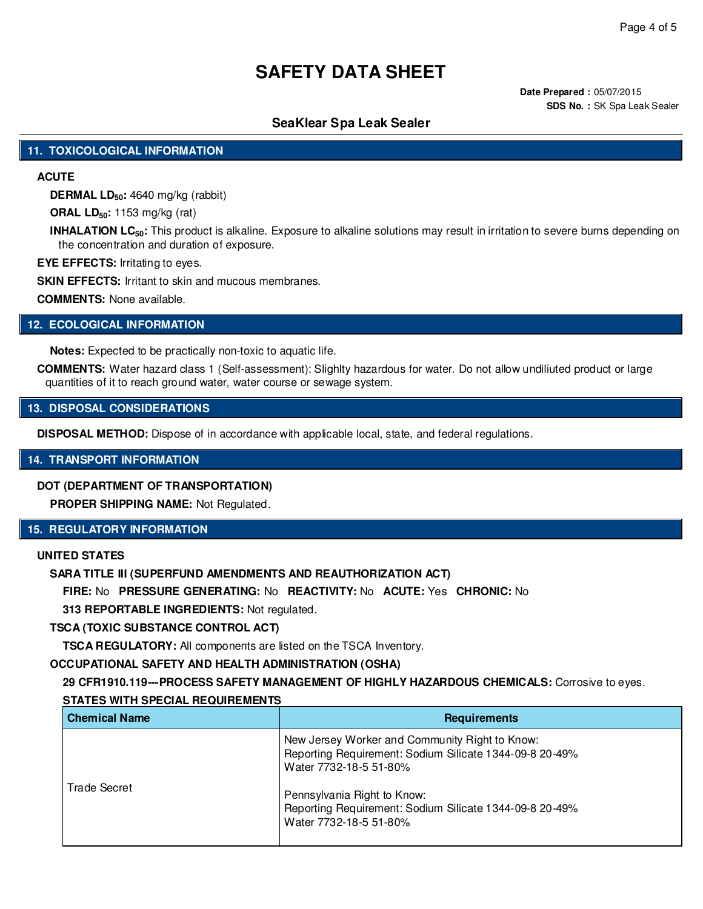**Date Prepared :** 05/07/2015 **SDS No. :** SK Spa Leak Sealer

## **SeaKlear Spa Leak Sealer**

#### **11. TOXICOLOGICAL INFORMATION**

### **ACUTE**

**DERMAL LD50:** 4640 mg/kg (rabbit)

**ORAL LD50:** 1153 mg/kg (rat)

**INHALATION LC50:** This product is alkaline. Exposure to alkaline solutions may result in irritation to severe burns depending on the concentration and duration of exposure.

**EYE EFFECTS:** Irritating to eyes.

**SKIN EFFECTS: Irritant to skin and mucous membranes.** 

**COMMENTS:** None available.

#### **12. ECOLOGICAL INFORMATION**

**Notes:** Expected to be practically non-toxic to aquatic life.

**COMMENTS:** Water hazard class 1 (Self-assessment): Slighlty hazardous for water. Do not allow undiliuted product or large quantities of it to reach ground water, water course or sewage system.

#### **13. DISPOSAL CONSIDERATIONS**

**DISPOSAL METHOD:** Dispose of in accordance with applicable local, state, and federal regulations.

#### **14. TRANSPORT INFORMATION**

#### **DOT (DEPARTMENT OF TRANSPORTATION)**

**PROPER SHIPPING NAME:** Not Regulated.

## **15. REGULATORY INFORMATION**

## **UNITED STATES**

### **SARA TITLE III (SUPERFUND AMENDMENTS AND REAUTHORIZATION ACT)**

**FIRE:** No **PRESSURE GENERATING:** No **REACTIVITY:** No **ACUTE:** Yes **CHRONIC:** No

**313 REPORTABLE INGREDIENTS:** Not regulated.

**TSCA (TOXIC SUBSTANCE CONTROL ACT)**

**TSCA REGULATORY:** All components are listed on the TSCA Inventory.

#### **OCCUPATIONAL SAFETY AND HEALTH ADMINISTRATION (OSHA)**

**29 CFR1910.119---PROCESS SAFETY MANAGEMENT OF HIGHLY HAZARDOUS CHEMICALS:** Corrosive to eyes. **STATES WITH SPECIAL REQUIREMENTS**

| <b>Chemical Name</b> | <b>Requirements</b>                                                                                                                 |
|----------------------|-------------------------------------------------------------------------------------------------------------------------------------|
| Trade Secret         | New Jersey Worker and Community Right to Know:<br>Reporting Requirement: Sodium Silicate 1344-09-8 20-49%<br>Water 7732-18-5 51-80% |
|                      | Pennsylvania Right to Know:<br>Reporting Requirement: Sodium Silicate 1344-09-8 20-49%<br>Water 7732-18-5 51-80%                    |